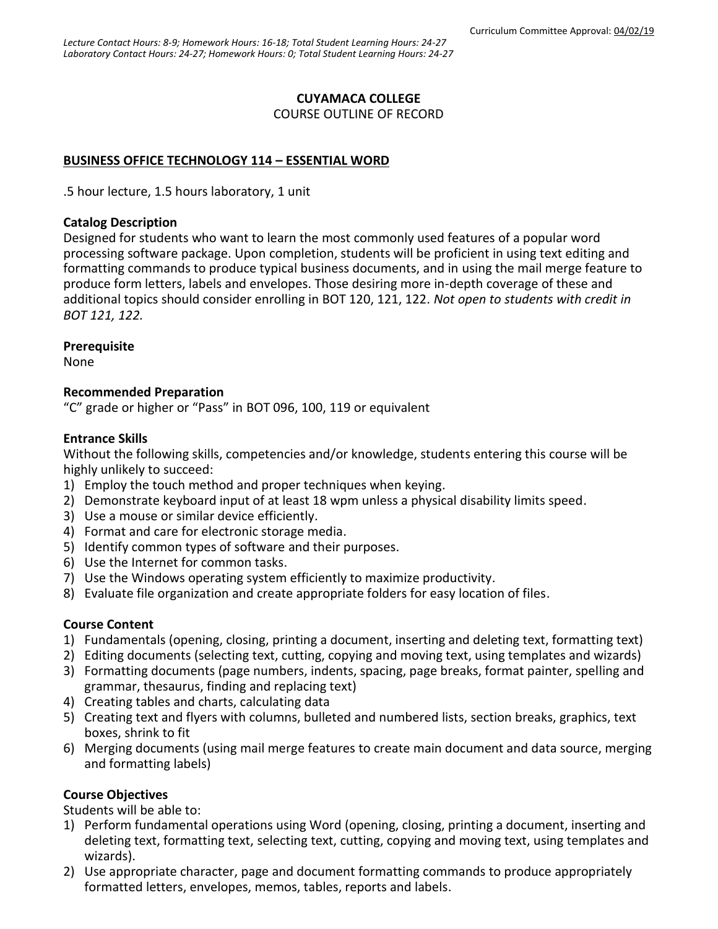## **CUYAMACA COLLEGE**

COURSE OUTLINE OF RECORD

## **BUSINESS OFFICE TECHNOLOGY 114 – ESSENTIAL WORD**

.5 hour lecture, 1.5 hours laboratory, 1 unit

#### **Catalog Description**

Designed for students who want to learn the most commonly used features of a popular word processing software package. Upon completion, students will be proficient in using text editing and formatting commands to produce typical business documents, and in using the mail merge feature to produce form letters, labels and envelopes. Those desiring more in-depth coverage of these and additional topics should consider enrolling in BOT 120, 121, 122. *Not open to students with credit in BOT 121, 122.*

#### **Prerequisite**

None

#### **Recommended Preparation**

"C" grade or higher or "Pass" in BOT 096, 100, 119 or equivalent

#### **Entrance Skills**

Without the following skills, competencies and/or knowledge, students entering this course will be highly unlikely to succeed:

- 1) Employ the touch method and proper techniques when keying.
- 2) Demonstrate keyboard input of at least 18 wpm unless a physical disability limits speed.
- 3) Use a mouse or similar device efficiently.
- 4) Format and care for electronic storage media.
- 5) Identify common types of software and their purposes.
- 6) Use the Internet for common tasks.
- 7) Use the Windows operating system efficiently to maximize productivity.
- 8) Evaluate file organization and create appropriate folders for easy location of files.

#### **Course Content**

- 1) Fundamentals (opening, closing, printing a document, inserting and deleting text, formatting text)
- 2) Editing documents (selecting text, cutting, copying and moving text, using templates and wizards)
- 3) Formatting documents (page numbers, indents, spacing, page breaks, format painter, spelling and grammar, thesaurus, finding and replacing text)
- 4) Creating tables and charts, calculating data
- 5) Creating text and flyers with columns, bulleted and numbered lists, section breaks, graphics, text boxes, shrink to fit
- 6) Merging documents (using mail merge features to create main document and data source, merging and formatting labels)

## **Course Objectives**

Students will be able to:

- 1) Perform fundamental operations using Word (opening, closing, printing a document, inserting and deleting text, formatting text, selecting text, cutting, copying and moving text, using templates and wizards).
- 2) Use appropriate character, page and document formatting commands to produce appropriately formatted letters, envelopes, memos, tables, reports and labels.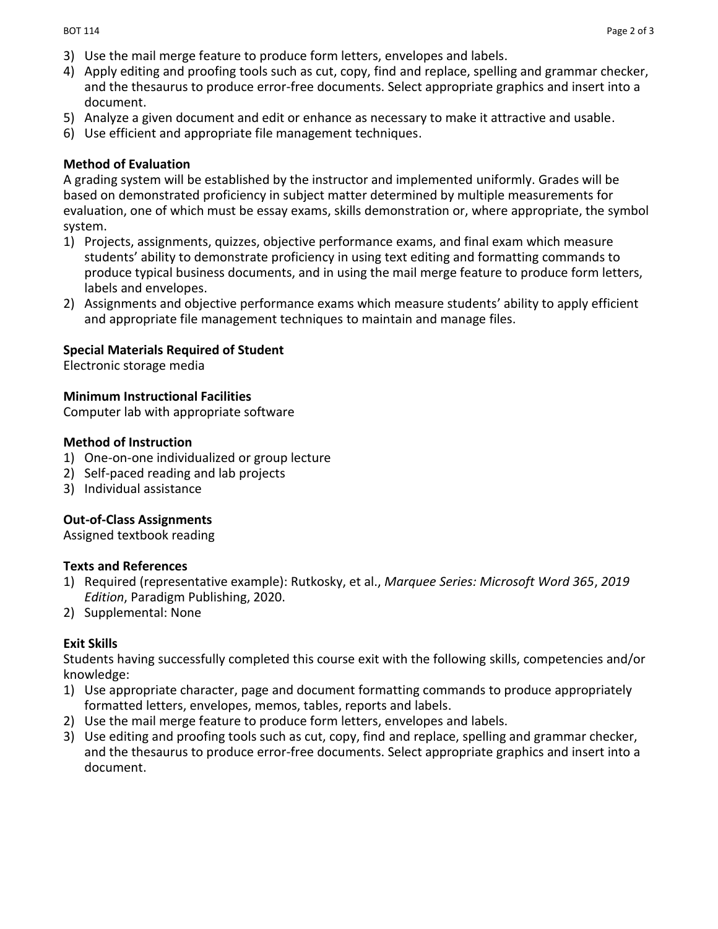- 3) Use the mail merge feature to produce form letters, envelopes and labels.
- 4) Apply editing and proofing tools such as cut, copy, find and replace, spelling and grammar checker, and the thesaurus to produce error-free documents. Select appropriate graphics and insert into a document.
- 5) Analyze a given document and edit or enhance as necessary to make it attractive and usable.
- 6) Use efficient and appropriate file management techniques.

## **Method of Evaluation**

A grading system will be established by the instructor and implemented uniformly. Grades will be based on demonstrated proficiency in subject matter determined by multiple measurements for evaluation, one of which must be essay exams, skills demonstration or, where appropriate, the symbol system.

- 1) Projects, assignments, quizzes, objective performance exams, and final exam which measure students' ability to demonstrate proficiency in using text editing and formatting commands to produce typical business documents, and in using the mail merge feature to produce form letters, labels and envelopes.
- 2) Assignments and objective performance exams which measure students' ability to apply efficient and appropriate file management techniques to maintain and manage files.

## **Special Materials Required of Student**

Electronic storage media

## **Minimum Instructional Facilities**

Computer lab with appropriate software

## **Method of Instruction**

- 1) One-on-one individualized or group lecture
- 2) Self-paced reading and lab projects
- 3) Individual assistance

# **Out-of-Class Assignments**

Assigned textbook reading

## **Texts and References**

- 1) Required (representative example): Rutkosky, et al., *Marquee Series: Microsoft Word 365*, *2019 Edition*, Paradigm Publishing, 2020.
- 2) Supplemental: None

## **Exit Skills**

Students having successfully completed this course exit with the following skills, competencies and/or knowledge:

- 1) Use appropriate character, page and document formatting commands to produce appropriately formatted letters, envelopes, memos, tables, reports and labels.
- 2) Use the mail merge feature to produce form letters, envelopes and labels.
- 3) Use editing and proofing tools such as cut, copy, find and replace, spelling and grammar checker, and the thesaurus to produce error-free documents. Select appropriate graphics and insert into a document.